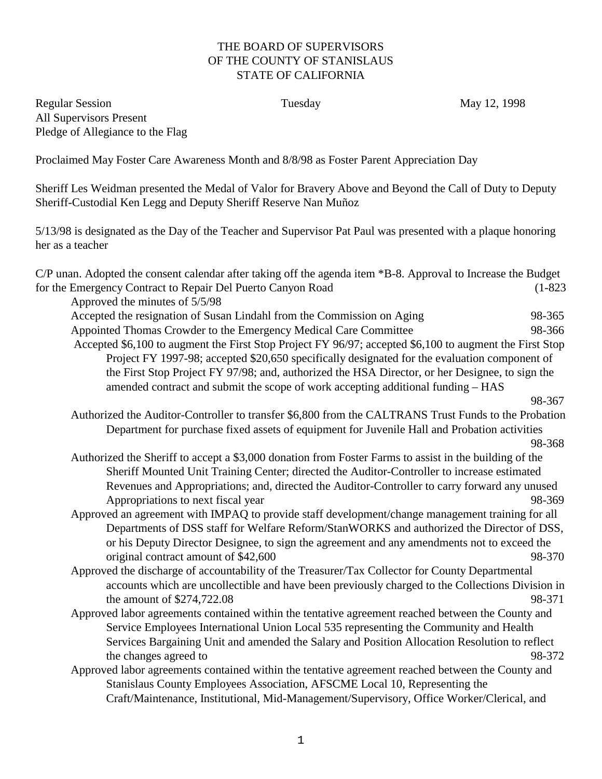## THE BOARD OF SUPERVISORS OF THE COUNTY OF STANISLAUS STATE OF CALIFORNIA

Regular Session Tuesday Tuesday May 12, 1998 All Supervisors Present Pledge of Allegiance to the Flag

Proclaimed May Foster Care Awareness Month and 8/8/98 as Foster Parent Appreciation Day

Sheriff Les Weidman presented the Medal of Valor for Bravery Above and Beyond the Call of Duty to Deputy Sheriff-Custodial Ken Legg and Deputy Sheriff Reserve Nan Muñoz

5/13/98 is designated as the Day of the Teacher and Supervisor Pat Paul was presented with a plaque honoring her as a teacher

| C/P unan. Adopted the consent calendar after taking off the agenda item *B-8. Approval to Increase the Budget                  |             |
|--------------------------------------------------------------------------------------------------------------------------------|-------------|
| for the Emergency Contract to Repair Del Puerto Canyon Road                                                                    | $(1 - 823)$ |
| Approved the minutes of 5/5/98                                                                                                 |             |
| Accepted the resignation of Susan Lindahl from the Commission on Aging                                                         | 98-365      |
| Appointed Thomas Crowder to the Emergency Medical Care Committee                                                               | 98-366      |
| Accepted \$6,100 to augment the First Stop Project FY 96/97; accepted \$6,100 to augment the First Stop                        |             |
| Project FY 1997-98; accepted \$20,650 specifically designated for the evaluation component of                                  |             |
| the First Stop Project FY 97/98; and, authorized the HSA Director, or her Designee, to sign the                                |             |
| amended contract and submit the scope of work accepting additional funding - HAS                                               |             |
|                                                                                                                                | 98-367      |
| Authorized the Auditor-Controller to transfer \$6,800 from the CALTRANS Trust Funds to the Probation                           |             |
| Department for purchase fixed assets of equipment for Juvenile Hall and Probation activities                                   |             |
|                                                                                                                                | 98-368      |
| Authorized the Sheriff to accept a \$3,000 donation from Foster Farms to assist in the building of the                         |             |
| Sheriff Mounted Unit Training Center; directed the Auditor-Controller to increase estimated                                    |             |
| Revenues and Appropriations; and, directed the Auditor-Controller to carry forward any unused                                  |             |
| Appropriations to next fiscal year                                                                                             | 98-369      |
| Approved an agreement with IMPAQ to provide staff development/change management training for all                               |             |
| Departments of DSS staff for Welfare Reform/StanWORKS and authorized the Director of DSS,                                      |             |
| or his Deputy Director Designee, to sign the agreement and any amendments not to exceed the                                    |             |
| original contract amount of \$42,600                                                                                           | 98-370      |
| Approved the discharge of accountability of the Treasurer/Tax Collector for County Departmental                                |             |
| accounts which are uncollectible and have been previously charged to the Collections Division in<br>the amount of \$274,722.08 | 98-371      |
| Approved labor agreements contained within the tentative agreement reached between the County and                              |             |
| Service Employees International Union Local 535 representing the Community and Health                                          |             |
| Services Bargaining Unit and amended the Salary and Position Allocation Resolution to reflect                                  |             |
| the changes agreed to                                                                                                          | 98-372      |
| Approved labor agreements contained within the tentative agreement reached between the County and                              |             |
| Stanislaus County Employees Association, AFSCME Local 10, Representing the                                                     |             |
| Craft/Maintenance, Institutional, Mid-Management/Supervisory, Office Worker/Clerical, and                                      |             |
|                                                                                                                                |             |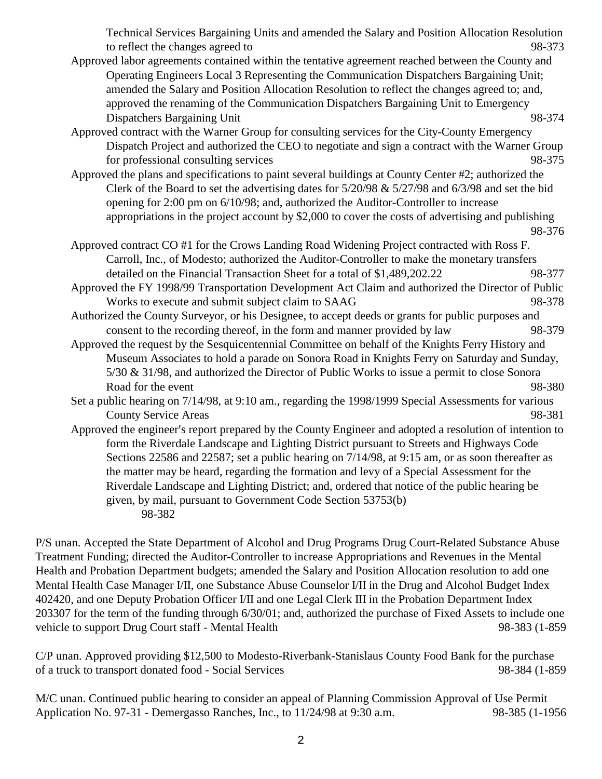Technical Services Bargaining Units and amended the Salary and Position Allocation Resolution to reflect the changes agreed to 98-373

- Approved labor agreements contained within the tentative agreement reached between the County and Operating Engineers Local 3 Representing the Communication Dispatchers Bargaining Unit; amended the Salary and Position Allocation Resolution to reflect the changes agreed to; and, approved the renaming of the Communication Dispatchers Bargaining Unit to Emergency Dispatchers Bargaining Unit 98-374
- Approved contract with the Warner Group for consulting services for the City-County Emergency Dispatch Project and authorized the CEO to negotiate and sign a contract with the Warner Group for professional consulting services 98-375
- Approved the plans and specifications to paint several buildings at County Center #2; authorized the Clerk of the Board to set the advertising dates for  $5/20/98 \& 5/27/98$  and  $6/3/98$  and set the bid opening for 2:00 pm on 6/10/98; and, authorized the Auditor-Controller to increase appropriations in the project account by \$2,000 to cover the costs of advertising and publishing 98-376
- Approved contract CO #1 for the Crows Landing Road Widening Project contracted with Ross F. Carroll, Inc., of Modesto; authorized the Auditor-Controller to make the monetary transfers detailed on the Financial Transaction Sheet for a total of \$1,489,202.22 98-377
- Approved the FY 1998/99 Transportation Development Act Claim and authorized the Director of Public Works to execute and submit subject claim to SAAG 98-378
- Authorized the County Surveyor, or his Designee, to accept deeds or grants for public purposes and consent to the recording thereof, in the form and manner provided by law 98-379
- Approved the request by the Sesquicentennial Committee on behalf of the Knights Ferry History and Museum Associates to hold a parade on Sonora Road in Knights Ferry on Saturday and Sunday, 5/30 & 31/98, and authorized the Director of Public Works to issue a permit to close Sonora Road for the event 98-380
- Set a public hearing on 7/14/98, at 9:10 am., regarding the 1998/1999 Special Assessments for various County Service Areas 98-381
- Approved the engineer's report prepared by the County Engineer and adopted a resolution of intention to form the Riverdale Landscape and Lighting District pursuant to Streets and Highways Code Sections 22586 and 22587; set a public hearing on 7/14/98, at 9:15 am, or as soon thereafter as the matter may be heard, regarding the formation and levy of a Special Assessment for the Riverdale Landscape and Lighting District; and, ordered that notice of the public hearing be given, by mail, pursuant to Government Code Section 53753(b) 98-382

P/S unan. Accepted the State Department of Alcohol and Drug Programs Drug Court-Related Substance Abuse Treatment Funding; directed the Auditor-Controller to increase Appropriations and Revenues in the Mental Health and Probation Department budgets; amended the Salary and Position Allocation resolution to add one Mental Health Case Manager I/II, one Substance Abuse Counselor I/II in the Drug and Alcohol Budget Index 402420, and one Deputy Probation Officer I/II and one Legal Clerk III in the Probation Department Index 203307 for the term of the funding through 6/30/01; and, authorized the purchase of Fixed Assets to include one vehicle to support Drug Court staff - Mental Health 98-383 (1-859

C/P unan. Approved providing \$12,500 to Modesto-Riverbank-Stanislaus County Food Bank for the purchase of a truck to transport donated food - Social Services 98-384 (1-859

M/C unan. Continued public hearing to consider an appeal of Planning Commission Approval of Use Permit Application No. 97-31 - Demergasso Ranches, Inc., to 11/24/98 at 9:30 a.m. 98-385 (1-1956